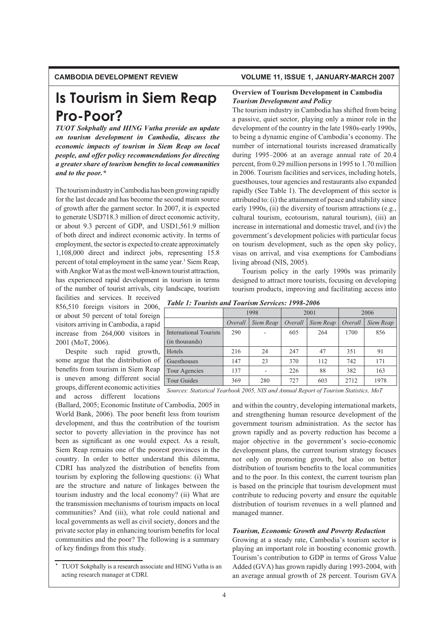# **CAMBODIA DEVELOPMENT REVIEW VOLUME 11, ISSUE 1, JANUARY-MARCH 2007**

# **Is Tourism in Siem Reap Pro-Poor?**

*TUOT Sokphally and HING Vutha provide an update* on tourism development in Cambodia, discuss the *economic impacts of tourism in Siem Reap on local people, and offer policy recommendations for directing a* greater share of tourism benefits to local communities *and to the poor.\**

The tourism industry in Cambodia has been growing rapidly for the last decade and has become the second main source of growth after the garment sector. In 2007, it is expected to generate USD718.3 million of direct economic activity, or about 9.3 percent of GDP, and USD1,561.9 million of both direct and indirect economic activity. In terms of employment, the sector is expected to create approximately 1,108,000 direct and indirect jobs, representing 15.8 percent of total employment in the same year.<sup>1</sup> Siem Reap, with Angkor Wat as the most well-known tourist attraction, has experienced rapid development in tourism in terms of the number of tourist arrivals, city landscape, tourism

facilities and services. It received 856,510 foreign visitors in 2006, or about 50 percent of total foreign visitors arriving in Cambodia, a rapid increase from 264,000 visitors in 2001 (MoT, 2006).

Despite such rapid growth, some argue that the distribution of benefits from tourism in Siem Reap is uneven among different social groups, different economic activities and across different locations

(Ballard, 2005; Economic Institute of Cambodia, 2005 in World Bank, 2006). The poor benefit less from tourism development, and thus the contribution of the tourism sector to poverty alleviation in the province has not been as significant as one would expect. As a result, Siem Reap remains one of the poorest provinces in the country. In order to better understand this dilemma, CDRI has analyzed the distribution of benefits from tourism by exploring the following questions: (i) What are the structure and nature of linkages between the tourism industry and the local economy? (ii) What are the transmission mechanisms of tourism impacts on local communities? And (iii), what role could national and local governments as well as civil society, donors and the private sector play in enhancing tourism benefits for local communities and the poor? The following is a summary of key findings from this study.

# **Overview of Tourism Development in Cambodia** *<i>Tourism Development and Policy*

The tourism industry in Cambodia has shifted from being a passive, quiet sector, playing only a minor role in the development of the country in the late 1980s-early 1990s, to being a dynamic engine of Cambodia's economy. The number of international tourists increased dramatically during 1995–2006 at an average annual rate of 20.4 percent, from 0.29 million persons in 1995 to 1.70 million in 2006. Tourism facilities and services, including hotels, guesthouses, tour agencies and restaurants also expanded rapidly (See Table 1). The development of this sector is attributed to: (i) the attainment of peace and stability since early 1990s, (ii) the diversity of tourism attractions (e.g., cultural tourism, ecotourism, natural tourism), (iii) an increase in international and domestic travel, and (iv) the government's development policies with particular focus on tourism development, such as the open sky policy, visas on arrival, and visa exemptions for Cambodians living abroad (NIS, 2005).

Tourism policy in the early 1990s was primarily designed to attract more tourists, focusing on developing tourism products, improving and facilitating access into

|  |  | <b>Table 1: Tourists and Tourism Services: 1998-2006</b> |
|--|--|----------------------------------------------------------|
|  |  |                                                          |

|                               | 1998    |           | 2001    |           | 2006    |           |
|-------------------------------|---------|-----------|---------|-----------|---------|-----------|
|                               | Overall | Siem Reap | Overall | Siem Reap | Overall | Siem Reap |
| <b>International Tourists</b> | 290     |           | 605     | 264       | 1700    | 856       |
| (in thousands)                |         |           |         |           |         |           |
| Hotels                        | 216     | 24        | 247     | 47        | 351     | 91        |
| Guesthouses                   | 147     | 23        | 370     | 112       | 742     | 171       |
| Tour Agencies                 | 137     |           | 226     | 88        | 382     | 163       |
| Tour Guides                   | 369     | 280       | 727     | 603       | 2712    | 1978      |

*Sources: Statistical Yearbook 2005, NIS and Annual Report of Tourism Statistics, MoT*

and within the country, developing international markets, and strengthening human resource development of the government tourism administration. As the sector has grown rapidly and as poverty reduction has become a major objective in the government's socio-economic development plans, the current tourism strategy focuses not only on promoting growth, but also on better distribution of tourism benefits to the local communities and to the poor. In this context, the current tourism plan is based on the principle that tourism development must contribute to reducing poverty and ensure the equitable distribution of tourism revenues in a well planned and managed manner.

### *Tourism, Economic Growth and Poverty Reduction*

Growing at a steady rate, Cambodia's tourism sector is playing an important role in boosting economic growth. Tourism's contribution to GDP in terms of Gross Value Added (GVA) has grown rapidly during 1993-2004, with an average annual growth of 28 percent. Tourism GVA

**<sup>\*</sup>** TUOT Sokphally is a research associate and HING Vutha is an acting research manager at CDRI.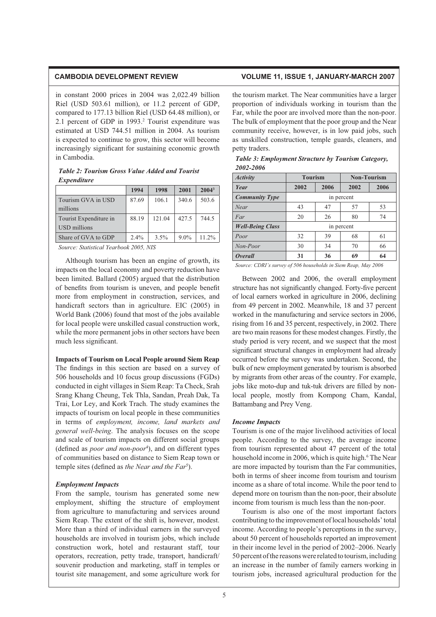in constant 2000 prices in 2004 was 2,022.49 billion Riel (USD 503.61 million), or 11.2 percent of GDP, compared to 177.13 billion Riel (USD 64.48 million), or 2.1 percent of GDP in 1993.<sup>2</sup> Tourist expenditure was estimated at USD 744.51 million in 2004. As tourism is expected to continue to grow, this sector will become increasingly significant for sustaining economic growth in Cambodia.

# *<i>Table 2: Tourism Gross Value Added and Tourist*  $Expenditur$ e

|                        | 1994    | 1998   | 2001    | $2004^3$ |
|------------------------|---------|--------|---------|----------|
| Tourism GVA in USD     | 87.69   | 106.1  | 340.6   | 503.6    |
| millions               |         |        |         |          |
| Tourist Expenditure in | 88.19   | 121.04 | 427.5   | 744.5    |
| USD millions           |         |        |         |          |
| Share of GVA to GDP    | $2.4\%$ | 3.5%   | $9.0\%$ | $11.2\%$ |

*Source: Statistical Yearbook 2005, NIS*

Although tourism has been an engine of growth, its impacts on the local economy and poverty reduction have been limited. Ballard (2005) argued that the distribution of benefits from tourism is uneven, and people benefit more from employment in construction, services, and handicraft sectors than in agriculture. EIC (2005) in World Bank (2006) found that most of the jobs available for local people were unskilled casual construction work, while the more permanent jobs in other sectors have been much less significant.

**Impacts of Tourism on Local People around Siem Reap** The findings in this section are based on a survey of 506 households and 10 focus group discussions (FGDs) conducted in eight villages in Siem Reap: Ta Check, Srah Srang Khang Cheung, Tek Thla, Sandan, Preah Dak, Ta Trai, Lor Ley, and Kork Trach. The study examines the impacts of tourism on local people in these communities in terms of *employment, income, land markets and general well-being*. The analysis focuses on the scope and scale of tourism impacts on different social groups (defined as *poor and non-poor<sup>4</sup>*), and on different types of communities based on distance to Siem Reap town or temple sites (defined as *the Near and the Far<sup>5</sup>*).

## $Employment$ *Impacts*

From the sample, tourism has generated some new employment, shifting the structure of employment from agriculture to manufacturing and services around Siem Reap. The extent of the shift is, however, modest. More than a third of individual earners in the surveyed households are involved in tourism jobs, which include construction work, hotel and restaurant staff, tour operators, recreation, petty trade, transport, handicraft/ souvenir production and marketing, staff in temples or tourist site management, and some agriculture work for

# **CAMBODIA DEVELOPMENT REVIEW VOLUME 11, ISSUE 1, JANUARY-MARCH 2007**

the tourism market. The Near communities have a larger proportion of individuals working in tourism than the Far, while the poor are involved more than the non-poor. The bulk of employment that the poor group and the Near community receive, however, is in low paid jobs, such as unskilled construction, temple guards, cleaners, and petty traders.

| 2002-2000               |                |      |                    |      |  |
|-------------------------|----------------|------|--------------------|------|--|
| <b>Activity</b>         | <b>Tourism</b> |      | <b>Non-Tourism</b> |      |  |
| Year                    | 2002           | 2006 | 2002               | 2006 |  |
| <b>Community Type</b>   | in percent     |      |                    |      |  |
| Near                    | 43             | 47   | 57                 | 53   |  |
| Far                     | 20             | 26   | 80                 | 74   |  |
| <b>Well-Being Class</b> | in percent     |      |                    |      |  |
| Poor                    | 32             | 39   | 68                 | 61   |  |
| Non-Poor                | 30             | 34   | 70                 | 66   |  |
| <i><b>Overall</b></i>   | 31             | 36   | 69                 | 64   |  |

*Table 3: Employment Structure by Tourism Category,*  $2002 - 2006$ 

*Source: CDRI's survey of 506 households in Siem Reap, May 2006*

Between 2002 and 2006, the overall employment structure has not significantly changed. Forty-five percent of local earners worked in agriculture in 2006, declining from 49 percent in 2002. Meanwhile, 18 and 37 percent worked in the manufacturing and service sectors in 2006, rising from 16 and 35 percent, respectively, in 2002. There are two main reasons for these modest changes. Firstly, the study period is very recent, and we suspect that the most significant structural changes in employment had already occurred before the survey was undertaken. Second, the bulk of new employment generated by tourism is absorbed by migrants from other areas of the country. For example, jobs like moto-dup and tuk-tuk drivers are filled by nonlocal people, mostly from Kompong Cham, Kandal, Battambang and Prey Veng.

## *Income Impacts*

Tourism is one of the major livelihood activities of local people. According to the survey, the average income from tourism represented about 47 percent of the total household income in 2006, which is quite high.<sup>6</sup> The Near are more impacted by tourism than the Far communities, both in terms of sheer income from tourism and tourism income as a share of total income. While the poor tend to depend more on tourism than the non-poor, their absolute income from tourism is much less than the non-poor.

Tourism is also one of the most important factors contributing to the improvement of local households' total income. According to people's perceptions in the survey, about 50 percent of households reported an improvement in their income level in the period of 2002–2006. Nearly 50 percent of the reasons were related to tourism, including an increase in the number of family earners working in tourism jobs, increased agricultural production for the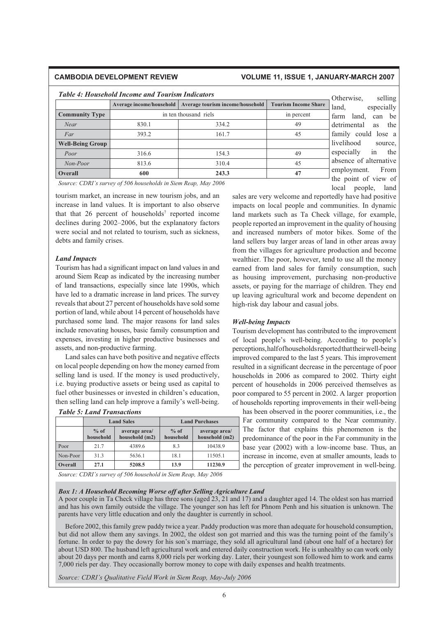# **CAMBODIA DEVELOPMENT REVIEW VOLUME 11, ISSUE 1, JANUARY-MARCH 2007**

# *<i>Table 4: Household Income and Tourism Indicators* **Average income/household Average tourism income/household Tourism Income Share Community Type** in ten thousand riels in ten thousand riels in percent *Near* 19 830.1 334.2 49 *Far* 161.7 **45 Well-Being Group** *Poor* 154.3 49 *Non-Poor* 813.6 310.4 45 **Overall 600 243.3 47**

Otherwise, selling land, especially farm land, can be detrimental as the family could lose a livelihood source, especially in the absence of alternative employment. From the point of view of local people, land

*Source: CDRI's survey of 506 households in Siem Reap, May 2006*

tourism market, an increase in new tourism jobs, and an increase in land values. It is important to also observe that that  $26$  percent of households<sup>7</sup> reported income declines during 2002–2006, but the explanatory factors were social and not related to tourism, such as sickness, debts and family crises.

### *Land Impacts*

Tourism has had a significant impact on land values in and around Siem Reap as indicated by the increasing number of land transactions, especially since late 1990s, which have led to a dramatic increase in land prices. The survey reveals that about 27 percent of households have sold some portion of land, while about 14 percent of households have purchased some land. The major reasons for land sales include renovating houses, basic family consumption and expenses, investing in higher productive businesses and assets, and non-productive farming.

Land sales can have both positive and negative effects on local people depending on how the money earned from selling land is used. If the money is used productively, i.e. buying productive assets or being used as capital to fuel other businesses or invested in children's education, then selling land can help improve a family's well-being.

|          | <b>Land Sales</b>   |                                 | <b>Land Purchases</b> |                                 |  |
|----------|---------------------|---------------------------------|-----------------------|---------------------------------|--|
|          | $%$ of<br>household | average area/<br>household (m2) | $%$ of<br>household   | average area/<br>household (m2) |  |
| Poor     | 21.7                | 4389.6                          | 8.3                   | 10438.9                         |  |
| Non-Poor | 31.3                | 5636.1                          | 18.1                  | 11505.1                         |  |
| Overall  | 27.1                | 5208.5                          | 13.9                  | 11230.9                         |  |

*<i>Table 5: Land Transactions* 

sales are very welcome and reportedly have had positive impacts on local people and communities. In dynamic land markets such as Ta Check village, for example, people reported an improvement in the quality of housing and increased numbers of motor bikes. Some of the land sellers buy larger areas of land in other areas away from the villages for agriculture production and become wealthier. The poor, however, tend to use all the money earned from land sales for family consumption, such as housing improvement, purchasing non-productive assets, or paying for the marriage of children. They end up leaving agricultural work and become dependent on high-risk day labour and casual jobs.

## *Well-being Impacts*

Tourism development has contributed to the improvement of local people's well-being. According to people's perceptions, half of households reported that their well-being improved compared to the last 5 years. This improvement resulted in a significant decrease in the percentage of poor households in 2006 as compared to 2002. Thirty eight percent of households in 2006 perceived themselves as poor compared to 55 percent in 2002. A larger proportion of households reporting improvements in their well-being

has been observed in the poorer communities, i.e., the Far community compared to the Near community. The factor that explains this phenomenon is the predominance of the poor in the Far community in the base year (2002) with a low-income base. Thus, an increase in income, even at smaller amounts, leads to the perception of greater improvement in well-being.

*Source: CDRI's survey of 506 household in Siem Reap, May 2006*

# Box 1: A Household Becoming Worse off after Selling Agriculture Land

A poor couple in Ta Check village has three sons (aged 23, 21 and 17) and a daughter aged 14. The oldest son has married and has his own family outside the village. The younger son has left for Phnom Penh and his situation is unknown. The parents have very little education and only the daughter is currently in school.

Before 2002, this family grew paddy twice a year. Paddy production was more than adequate for household consumption, but did not allow them any savings. In 2002, the oldest son got married and this was the turning point of the family's fortune. In order to pay the dowry for his son's marriage, they sold all agricultural land (about one half of a hectare) for about USD 800. The husband left agricultural work and entered daily construction work. He is unhealthy so can work only about 20 days per month and earns 8,000 riels per working day. Later, their youngest son followed him to work and earns 7,000 riels per day. They occasionally borrow money to cope with daily expenses and health treatments.

*Source: CDRI's Qualitative Field Work in Siem Reap, May-July 2006*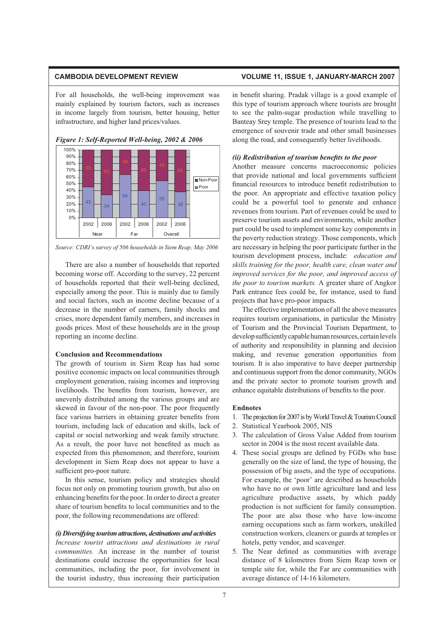For all households, the well-being improvement was mainly explained by tourism factors, such as increases in income largely from tourism, better housing, better infrastructure, and higher land prices/values.



*Figure 1: Self-Reported Well-being, 2002 & 2006* 



There are also a number of households that reported becoming worse off. According to the survey, 22 percent of households reported that their well-being declined, especially among the poor. This is mainly due to family and social factors, such as income decline because of a decrease in the number of earners, family shocks and crises, more dependent family members, and increases in goods prices. Most of these households are in the group reporting an income decline.

### **Conclusion and Recommendations**

The growth of tourism in Siem Reap has had some positive economic impacts on local communities through employment generation, raising incomes and improving livelihoods. The benefits from tourism, however, are unevenly distributed among the various groups and are skewed in favour of the non-poor. The poor frequently face various barriers in obtaining greater benefits from tourism, including lack of education and skills, lack of capital or social networking and weak family structure. As a result, the poor have not benefited as much as expected from this phenomenon; and therefore, tourism development in Siem Reap does not appear to have a sufficient pro-poor nature.

In this sense, tourism policy and strategies should focus not only on promoting tourism growth, but also on enhancing benefits for the poor. In order to direct a greater share of tourism benefits to local communities and to the poor, the following recommendations are offered:

# *(i) Diversifying tourism attractions, destinations and activities*

*Increase tourist attractions and destinations in rural communities.* An increase in the number of tourist destinations could increase the opportunities for local communities, including the poor, for involvement in the tourist industry, thus increasing their participation

# **CAMBODIA DEVELOPMENT REVIEW VOLUME 11, ISSUE 1, JANUARY-MARCH 2007**

in benefit sharing. Pradak village is a good example of this type of tourism approach where tourists are brought to see the palm-sugar production while travelling to Banteay Srey temple. The presence of tourists lead to the emergence of souvenir trade and other small businesses along the road, and consequently better livelihoods.

# *(ii) Redistribution of tourism benefits to the poor*

Another measure concerns macroeconomic policies that provide national and local governments sufficient financial resources to introduce benefit redistribution to the poor. An appropriate and effective taxation policy could be a powerful tool to generate and enhance revenues from tourism. Part of revenues could be used to preserve tourism assets and environments, while another part could be used to implement some key components in the poverty reduction strategy. Those components, which are necessary in helping the poor participate further in the tourism development process, include: *education and skills training for the poor, health care, clean water and improved services for the poor, and improved access of the poor to tourism markets.* A greater share of Angkor Park entrance fees could be, for instance, used to fund projects that have pro-poor impacts.

The effective implementation of all the above measures requires tourism organisations, in particular the Ministry of Tourism and the Provincial Tourism Department, to develop sufficiently capable human resources, certain levels of authority and responsibility in planning and decision making, and revenue generation opportunities from tourism. It is also imperative to have deeper partnership and continuous support from the donor community, NGOs and the private sector to promote tourism growth and enhance equitable distributions of benefits to the poor.

### **Endnotes**

- 1. The projection for 2007 is by World Travel & Tourism Council
- 2. Statistical Yearbook 2005, NIS
- 3. The calculation of Gross Value Added from tourism sector in 2004 is the most recent available data.
- 4. These social groups are defined by FGDs who base generally on the size of land, the type of housing, the possession of big assets, and the type of occupations. For example, the 'poor' are described as households who have no or own little agriculture land and less agriculture productive assets, by which paddy production is not sufficient for family consumption. The poor are also those who have low-income earning occupations such as farm workers, unskilled construction workers, cleaners or guards at temples or hotels, petty vendor, and scavenger.
- 5. The Near defined as communities with average distance of 8 kilometres from Siem Reap town or temple site for, while the Far are communities with average distance of 14-16 kilometers.